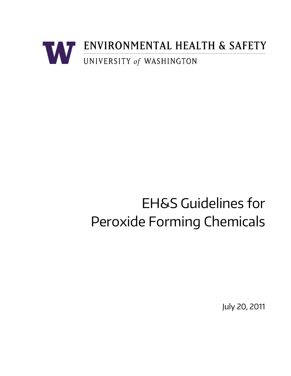

# EH&S Guidelines for Peroxide Forming Chemicals

July 20, 2011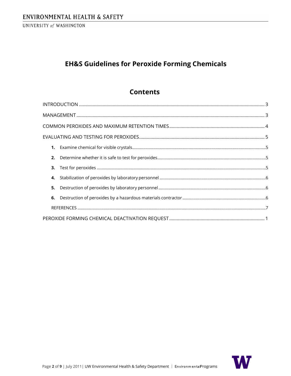# **EH&S Guidelines for Peroxide Forming Chemicals**

# **Contents**

| 3. |  |  |  |
|----|--|--|--|
| 4. |  |  |  |
| 5. |  |  |  |
| 6. |  |  |  |
|    |  |  |  |
|    |  |  |  |

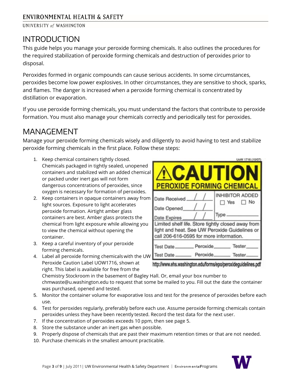# <span id="page-2-0"></span>INTRODUCTION

This guide helps you manage your peroxide forming chemicals. It also outlines the procedures for the required stabilization of peroxide forming chemicals and destruction of peroxides prior to disposal.

Peroxides formed in organic compounds can cause serious accidents. In some circumstances, peroxides become low power explosives. In other circumstances, they are sensitive to shock, sparks, and flames. The danger is increased when a peroxide forming chemical is concentrated by distillation or evaporation.

If you use peroxide forming chemicals, you must understand the factors that contribute to peroxide formation. You must also manage your chemicals correctly and periodically test for peroxides.

# <span id="page-2-1"></span>MANAGEMENT

Manage your peroxide forming chemicals wisely and diligently to avoid having to test and stabilize peroxide forming chemicals in the first place. Follow these steps:

- 1. Keep chemical containers tightly closed. Chemicals packaged in tightly sealed, unopened containers and stabilized with an added chemical or packed under inert gas will not form dangerous concentrations of peroxides, since oxygen is necessary for formation of peroxides.
- 2. Keep containers in opaque containers away from light sources. Exposure to light accelerates peroxide formation. Airtight amber glass containers are best. Amber glass protects the chemical from light exposure while allowing you to view the chemical without opening the container.
- 3. Keep a careful inventory of your peroxide forming chemicals.
- 4. Label all peroxide forming chemicalswith the UW Peroxide Caution Label UOW1716, shown at right. This label is available for free from the



http://www.ehs.washington.edu/forms/epo/peroxideguidelines.pdf

Chemistry Stockroom in the basement of Bagley Hall. Or, email your box number t[o](mailto:chmwaste@u.washington.edu) [chmwaste@u.washington.edu t](mailto:chmwaste@u.washington.edu)o request that some be mailed to you. Fill out the date the container was purchased, opened and tested.

- 5. Monitor the container volume for evaporative loss and test for the presence of peroxides before each use.
- 6. Test for peroxides regularly, preferably before each use. Assume peroxide forming chemicals contain peroxides unless they have been recently tested. Record the test data for the next user.
- 7. If the concentration of peroxides exceeds 10 ppm, then see page 5.
- 8. Store the substance under an inert gas when possible.
- 9. Properly dispose of chemicals that are past their maximum retention times or that are not needed.
- 10. Purchase chemicals in the smallest amount practicable.

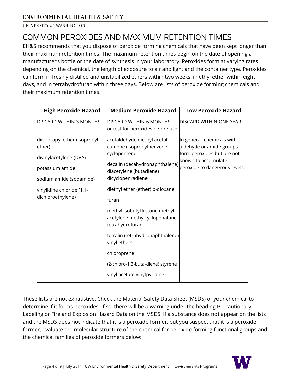# <span id="page-3-0"></span>COMMON PEROXIDES AND MAXIMUM RETENTION TIMES

EH&S recommends that you dispose of peroxide forming chemicals that have been kept longer than their maximum retention times. The maximum retention times begin on the date of opening a manufacturer's bottle or the date of synthesis in your laboratory. Peroxides form at varying rates depending on the chemical, the length of exposure to air and light and the container type. Peroxides can form in freshly distilled and unstabilized ethers within two weeks, in ethyl ether within eight days, and in tetrahydrofuran within three days. Below are lists of peroxide forming chemicals and their maximum retention times.

| <b>High Peroxide Hazard</b>                                                                                    | <b>Medium Peroxide Hazard</b>                                                                                                                              | <b>Low Peroxide Hazard</b>                                                                                                                   |
|----------------------------------------------------------------------------------------------------------------|------------------------------------------------------------------------------------------------------------------------------------------------------------|----------------------------------------------------------------------------------------------------------------------------------------------|
| <b>DISCARD WITHIN 3 MONTHS</b>                                                                                 | DISCARD WITHIN 6 MONTHS<br>or test for peroxides before use                                                                                                | DISCARD WITHIN ONE YEAR                                                                                                                      |
| diisopropyl ether (isopropyl<br>ether)<br>divinylacetylene (DVA)<br>potassium amide<br>sodium amide (sodamide) | acetaldehyde diethyl acetal<br>cumene (isopropylbenzene)<br>cyclopentene<br>decalin (decahydronaphthalene)<br>diacetylene (butadiene)<br>dicyclopenradiene | In general, chemicals with<br>aldehyde or amide groups<br>form peroxides but are not<br>known to accumulate<br>peroxide to dangerous levels. |
| vinylidine chloride (1,1-<br>dichloroethylene)                                                                 | diethyl ether (ether) p-dioxane<br>furan<br>methyl isobutyl ketone methyl<br>acetylene methylcyclopenatane<br>tetrahydrofuran                              |                                                                                                                                              |
|                                                                                                                | tetralin (tetrahydronaphthalene)<br>vinyl ethers                                                                                                           |                                                                                                                                              |
|                                                                                                                | chloroprene<br>(2-chloro-1,3-buta-diene) styrene<br>vinyl acetate vinylpyridine                                                                            |                                                                                                                                              |

These lists are not exhaustive. Check the Material Safety Data Sheet (MSDS) of your chemical to determine if it forms peroxides. If so, there will be a warning under the heading Precautionary Labeling or Fire and Explosion Hazard Data on the MSDS. If a substance does not appear on the lists and the MSDS does not indicate that it is a peroxide former, but you suspect that it is a peroxide former, evaluate the molecular structure of the chemical for peroxide forming functional groups and the chemical families of peroxide formers below:

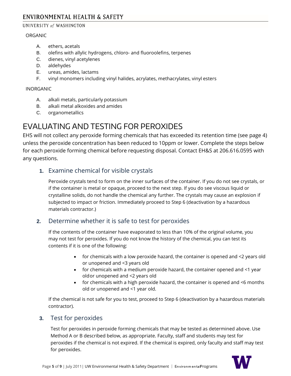#### UNIVERSITY of WASHINGTON

#### ORGANIC

- A. ethers, acetals
- B. olefins with allylic hydrogens, chloro- and fluoroolefins, terpenes
- C. dienes, vinyl acetylenes
- D. aldehydes
- E. ureas, amides, lactams
- F. vinyl monomers including vinyl halides, acrylates, methacrylates, vinyl esters

#### INORGANIC

- A. alkali metals, particularly potassium
- B. alkali metal alkoxides and amides
- C. organometallics

# <span id="page-4-0"></span>EVALUATING AND TESTING FOR PEROXIDES

EHS will not collect any peroxide forming chemicals that has exceeded its retention time (see page 4) unless the peroxide concentration has been reduced to 10ppm or lower. Complete the steps below for each peroxide forming chemical before requesting disposal. Contact EH&S at 206.616.0595 with any questions.

# <span id="page-4-1"></span>**1.** Examine chemical for visible crystals

Peroxide crystals tend to form on the inner surfaces of the container. If you do not see crystals, or if the container is metal or opaque, proceed to the next step. If you do see viscous liquid or crystalline solids, do not handle the chemical any further. The crystals may cause an explosion if subjected to impact or friction. Immediately proceed to Step 6 (deactivation by a hazardous materials contractor.)

# <span id="page-4-2"></span>**2.** Determine whether it is safe to test for peroxides

If the contents of the container have evaporated to less than 10% of the original volume, you may not test for peroxides. If you do not know the history of the chemical, you can test its contents if it is one of the following:

- for chemicals with a low peroxide hazard, the container is opened and <2 years old or unopened and <3 years old
- for chemicals with a medium peroxide hazard, the container opened and <1 year oldor unopened and <2 years old
- for chemicals with a high peroxide hazard, the container is opened and <6 months old or unopened and <1 year old.

If the chemical is not safe for you to test, proceed to Step 6 (deactivation by a hazardous materials contractor).

# <span id="page-4-3"></span>**3.** Test for peroxides

Test for peroxides in peroxide forming chemicals that may be tested as determined above. Use Method A or B described below, as appropriate. Faculty, staff and students may test for peroxides if the chemical is not expired. If the chemical is expired, only faculty and staff may test for peroxides.

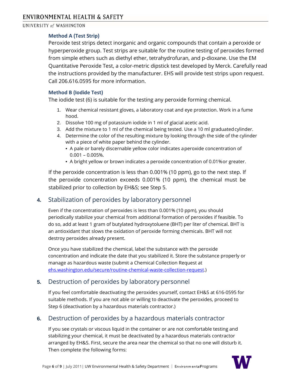#### **Method A (Test Strip)**

Peroxide test strips detect inorganic and organic compounds that contain a peroxide or hyperperoxide group. Test strips are suitable for the routine testing of peroxides formed from simple ethers such as diethyl ether, tetrahydrofuran, and p-dioxane. Use the EM Quantitative Peroxide Test, a color-metric dipstick test developed by Merck. Carefully read the instructions provided by the manufacturer. EHS will provide test strips upon request. Call 206.616.0595 for more information.

#### **Method B (Iodide Test)**

The iodide test (6) is suitable for the testing any peroxide forming chemical.

- 1. Wear chemical resistant gloves, a laboratory coat and eye protection. Work in a fume hood.
- 2. Dissolve 100 mg of potassium iodide in 1 ml of glacial acetic acid.
- 3. Add the mixture to 1 ml of the chemical being tested. Use a 10 ml graduated cylinder.
- 4. Determine the color of the resulting mixture by looking through the side of the cylinder with a piece of white paper behind the cylinder.
	- A pale or barely discernable yellow color indicates aperoxide concentration of 0.001 – 0.005%.
	- A bright yellow or brown indicates a peroxide concentration of 0.01%or greater.

If the peroxide concentration is less than 0.001% (10 ppm), go to the next step. If the peroxide concentration exceeds 0.001% (10 ppm), the chemical must be stabilized prior to collection by EH&S; see Step 5.

# <span id="page-5-0"></span>**4.** Stabilization of peroxides by laboratory personnel

Even if the concentration of peroxides is less than 0.001% (10 ppm), you should periodically stabilize your chemical from additional formation of peroxides if feasible. To do so, add at least 1 gram of butylated hydroxytoluene (BHT) per liter of chemical. BHT is an antioxidant that slows the oxidation of peroxide forming chemicals. BHT will not destroy peroxides already present.

Once you have stabilized the chemical, label the substance with the peroxide concentration and indicate the date that you stabilized it. Store the substance properly or manage as hazardous waste (submit a Chemical Collection Request at [ehs.washington.edu/secure/routine-chemical-waste-collection-request.\)](http://ehs.washington.edu/secure/routine-chemical-waste-collection-request)

# <span id="page-5-1"></span>**5.** Destruction of peroxides by laboratory personnel

If you feel comfortable deactivating the peroxides yourself, contact EH&S at 616-0595 for suitable methods. If you are not able or willing to deactivate the peroxides, proceed to Step 6 (deactivation by a hazardous materials contractor.)

# <span id="page-5-2"></span>**6.** Destruction of peroxides by a hazardous materials contractor

If you see crystals or viscous liquid in the container or are not comfortable testing and stabilizing your chemical, it must be deactivated by a hazardous materials contractor arranged by EH&S. First, secure the area near the chemical so that no one will disturb it. Then complete the following forms:

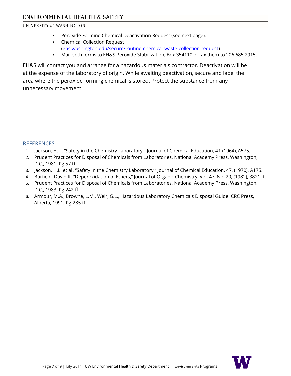#### UNIVERSITY of WASHINGTON

- Peroxide Forming Chemical Deactivation Request (see next page).
- Chemical Collection Request [\(ehs.washington.edu/secure/routine-chemical-waste-collection-request\)](http://ehs.washington.edu/secure/routine-chemical-waste-collection-request)
- Mail both forms to EH&S Peroxide Stabilization, Box 354110 or fax them to 206.685.2915.

EH&S will contact you and arrange for a hazardous materials contractor. Deactivation will be at the expense of the laboratory of origin. While awaiting deactivation, secure and label the area where the peroxide forming chemical is stored. Protect the substance from any unnecessary movement.

#### <span id="page-6-0"></span>**REFERENCES**

- 1. Jackson, H. L. "Safety in the Chemistry Laboratory," Journal of Chemical Education, 41 (1964), A575.
- 2. Prudent Practices for Disposal of Chemicals from Laboratories, National Academy Press, Washington, D.C., 1981, Pg 57 ff.
- 3. Jackson, H.L. et al. "Safety in the Chemistry Laboratory," Journal of Chemical Education, 47, (1970), A175.
- 4. Burfield, David R. "Deperoxidation of Ethers," Journal of Organic Chemistry, Vol. 47, No. 20, (1982), 3821 ff.
- 5. Prudent Practices for Disposal of Chemicals from Laboratories, National Academy Press, Washington, D.C., 1983, Pg 242 ff.
- 6. Armour, M.A., Browne, L.M., Weir, G.L., Hazardous Laboratory Chemicals Disposal Guide. CRC Press, Alberta, 1991, Pg 285 ff.

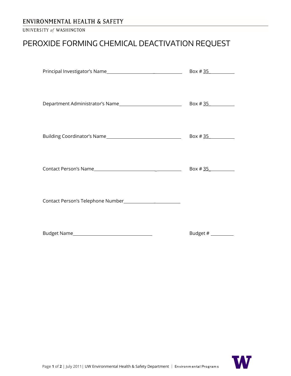#### UNIVERSITY of WASHINGTON

# <span id="page-7-0"></span>PEROXIDE FORMING CHEMICAL DEACTIVATION REQUEST

| Department Administrator's Name |            |
|---------------------------------|------------|
|                                 | Box # $35$ |
|                                 | Box # $35$ |
|                                 |            |
| Budget Name                     | Budget #   |